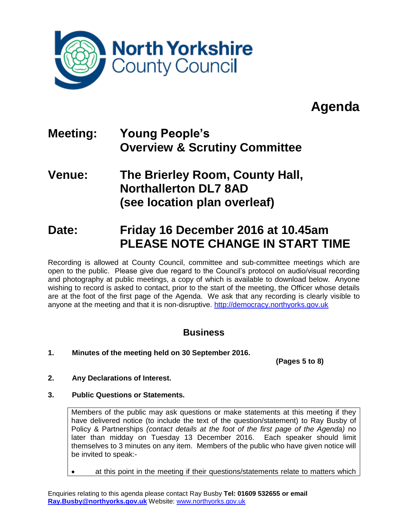

## **Agenda**

## **Meeting: Young People's Overview & Scrutiny Committee**

### **Venue: The Brierley Room, County Hall, Northallerton DL7 8AD (see location plan overleaf)**

## **Date: Friday 16 December 2016 at 10.45am PLEASE NOTE CHANGE IN START TIME**

Recording is allowed at County Council, committee and sub-committee meetings which are open to the public. Please give due regard to the Council's protocol on audio/visual recording and photography at public meetings, a copy of which is available to download below. Anyone wishing to record is asked to contact, prior to the start of the meeting, the Officer whose details are at the foot of the first page of the Agenda. We ask that any recording is clearly visible to anyone at the meeting and that it is non-disruptive. [http://democracy.northyorks.gov.uk](http://democracy.northyorks.gov.uk/)

### **Business**

**1. Minutes of the meeting held on 30 September 2016.**

**(Pages 5 to 8)**

- **2. Any Declarations of Interest.**
- **3. Public Questions or Statements.**

Members of the public may ask questions or make statements at this meeting if they have delivered notice (to include the text of the question/statement) to Ray Busby of Policy & Partnerships *(contact details at the foot of the first page of the Agenda)* no later than midday on Tuesday 13 December 2016. Each speaker should limit themselves to 3 minutes on any item. Members of the public who have given notice will be invited to speak:-

at this point in the meeting if their questions/statements relate to matters which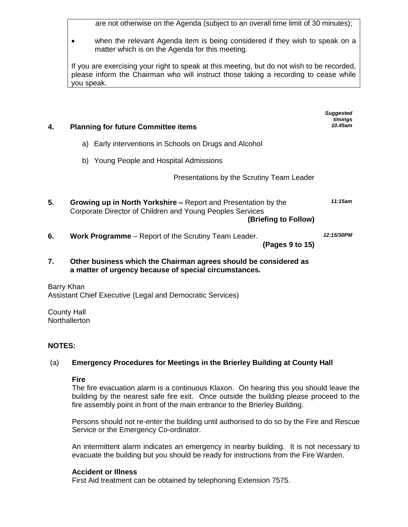are not otherwise on the Agenda (subject to an overall time limit of 30 minutes);

 when the relevant Agenda item is being considered if they wish to speak on a matter which is on the Agenda for this meeting.

If you are exercising your right to speak at this meeting, but do not wish to be recorded, please inform the Chairman who will instruct those taking a recording to cease while you speak.

| 4. | <b>Planning for future Committee items</b>                                                                                                                 | <b>Suggested</b><br>timings<br>10.45am |  |  |  |  |
|----|------------------------------------------------------------------------------------------------------------------------------------------------------------|----------------------------------------|--|--|--|--|
|    | a) Early interventions in Schools on Drugs and Alcohol                                                                                                     |                                        |  |  |  |  |
|    | b) Young People and Hospital Admissions                                                                                                                    |                                        |  |  |  |  |
|    | Presentations by the Scrutiny Team Leader                                                                                                                  |                                        |  |  |  |  |
| 5. | <b>Growing up in North Yorkshire – Report and Presentation by the</b><br>Corporate Director of Children and Young Peoples Services<br>(Briefing to Follow) | 11:15am                                |  |  |  |  |
| 6. | <b>Work Programme</b> – Report of the Scrutiny Team Leader.<br>(Pages 9 to 15)                                                                             | 12:15/30PM                             |  |  |  |  |
| 7. | Other business which the Chairman agrees should be considered as<br>a matter of urgency because of special circumstances.                                  |                                        |  |  |  |  |
|    | Barry Khan<br>Assistant Chief Executive (Legal and Democratic Services)                                                                                    |                                        |  |  |  |  |

County Hall **Northallerton** 

#### **NOTES:**

#### (a) **Emergency Procedures for Meetings in the Brierley Building at County Hall**

#### **Fire**

The fire evacuation alarm is a continuous Klaxon. On hearing this you should leave the building by the nearest safe fire exit. Once outside the building please proceed to the fire assembly point in front of the main entrance to the Brierley Building.

Persons should not re-enter the building until authorised to do so by the Fire and Rescue Service or the Emergency Co-ordinator.

An intermittent alarm indicates an emergency in nearby building. It is not necessary to evacuate the building but you should be ready for instructions from the Fire Warden.

#### **Accident or Illness**

First Aid treatment can be obtained by telephoning Extension 7575.